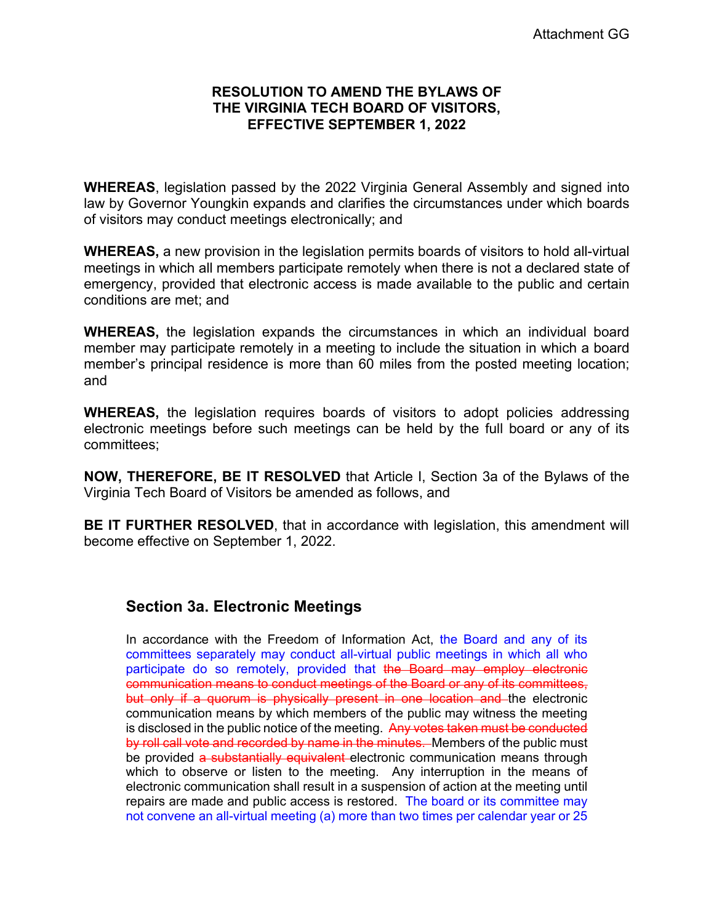## **RESOLUTION TO AMEND THE BYLAWS OF THE VIRGINIA TECH BOARD OF VISITORS, EFFECTIVE SEPTEMBER 1, 2022**

**WHEREAS**, legislation passed by the 2022 Virginia General Assembly and signed into law by Governor Youngkin expands and clarifies the circumstances under which boards of visitors may conduct meetings electronically; and

**WHEREAS,** a new provision in the legislation permits boards of visitors to hold all-virtual meetings in which all members participate remotely when there is not a declared state of emergency, provided that electronic access is made available to the public and certain conditions are met; and

**WHEREAS,** the legislation expands the circumstances in which an individual board member may participate remotely in a meeting to include the situation in which a board member's principal residence is more than 60 miles from the posted meeting location; and

**WHEREAS,** the legislation requires boards of visitors to adopt policies addressing electronic meetings before such meetings can be held by the full board or any of its committees;

**NOW, THEREFORE, BE IT RESOLVED** that Article I, Section 3a of the Bylaws of the Virginia Tech Board of Visitors be amended as follows, and

**BE IT FURTHER RESOLVED**, that in accordance with legislation, this amendment will become effective on September 1, 2022.

## **Section 3a. Electronic Meetings**

In accordance with the Freedom of Information Act, the Board and any of its committees separately may conduct all-virtual public meetings in which all who participate do so remotely, provided that the Board may employ electronic communication means to conduct meetings of the Board or any of its committees, but only if a quorum is physically present in one location and the electronic communication means by which members of the public may witness the meeting is disclosed in the public notice of the meeting. Any votes taken must be conducted by roll call vote and recorded by name in the minutes. Members of the public must be provided a substantially equivalent electronic communication means through which to observe or listen to the meeting. Any interruption in the means of electronic communication shall result in a suspension of action at the meeting until repairs are made and public access is restored. The board or its committee may not convene an all-virtual meeting (a) more than two times per calendar year or 25